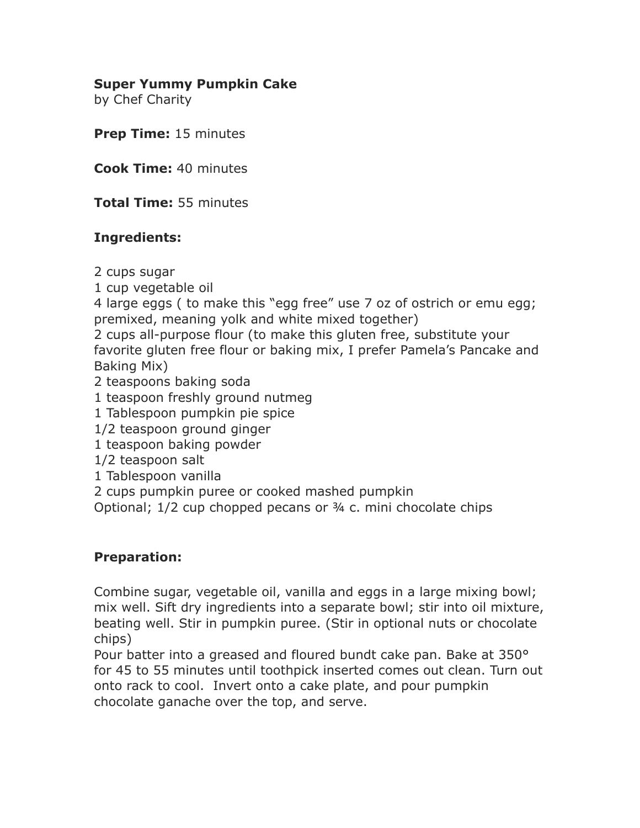## **Super Yummy Pumpkin Cake**

by Chef Charity

**Prep Time:** 15 minutes

**Cook Time:** 40 minutes

**Total Time:** 55 minutes

## **Ingredients:**

2 cups sugar

1 cup vegetable oil

4 large eggs ( to make this "egg free" use 7 oz of ostrich or emu egg; premixed, meaning yolk and white mixed together)

2 cups all-purpose flour (to make this gluten free, substitute your favorite gluten free flour or baking mix, I prefer Pamela's Pancake and Baking Mix)

2 teaspoons baking soda

- 1 teaspoon freshly ground nutmeg
- 1 Tablespoon pumpkin pie spice
- 1/2 teaspoon ground ginger
- 1 teaspoon baking powder
- 1/2 teaspoon salt
- 1 Tablespoon vanilla
- 2 cups pumpkin puree or cooked mashed pumpkin

Optional; 1/2 cup chopped pecans or ¾ c. mini chocolate chips

## **Preparation:**

Combine sugar, vegetable oil, vanilla and eggs in a large mixing bowl; mix well. Sift dry ingredients into a separate bowl; stir into oil mixture, beating well. Stir in pumpkin puree. (Stir in optional nuts or chocolate chips)

Pour batter into a greased and floured bundt cake pan. Bake at 350° for 45 to 55 minutes until toothpick inserted comes out clean. Turn out onto rack to cool. Invert onto a cake plate, and pour pumpkin chocolate ganache over the top, and serve.